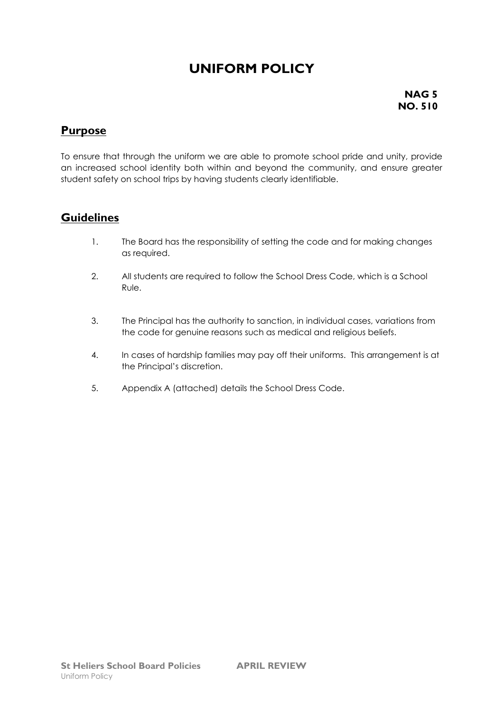# **UNIFORM POLICY**

**NAG 5 NO. 510**

### **Purpose**

To ensure that through the uniform we are able to promote school pride and unity, provide an increased school identity both within and beyond the community, and ensure greater student safety on school trips by having students clearly identifiable.

### **Guidelines**

- 1. The Board has the responsibility of setting the code and for making changes as required.
- 2. All students are required to follow the School Dress Code, which is a School Rule.
- 3. The Principal has the authority to sanction, in individual cases, variations from the code for genuine reasons such as medical and religious beliefs.
- 4. In cases of hardship families may pay off their uniforms. This arrangement is at the Principal's discretion.
- 5. Appendix A (attached) details the School Dress Code.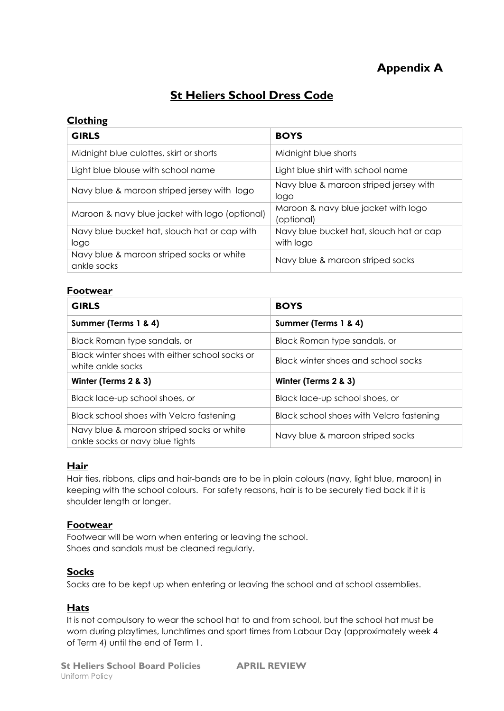## **Appendix A**

## **St Heliers School Dress Code**

#### **Clothing**

| <b>GIRLS</b>                                             | <b>BOYS</b>                                          |
|----------------------------------------------------------|------------------------------------------------------|
| Midnight blue culottes, skirt or shorts                  | Midnight blue shorts                                 |
| Light blue blouse with school name                       | Light blue shirt with school name                    |
| Navy blue & maroon striped jersey with logo              | Navy blue & maroon striped jersey with<br>logo       |
| Maroon & navy blue jacket with logo (optional)           | Maroon & navy blue jacket with logo<br>(optional)    |
| Navy blue bucket hat, slouch hat or cap with<br>logo     | Navy blue bucket hat, slouch hat or cap<br>with logo |
| Navy blue & maroon striped socks or white<br>ankle socks | Navy blue & maroon striped socks                     |

#### **Footwear**

| <b>GIRLS</b>                                                                 | <b>BOYS</b>                              |
|------------------------------------------------------------------------------|------------------------------------------|
| Summer (Terms 1 & 4)                                                         | Summer (Terms 1 & 4)                     |
| Black Roman type sandals, or                                                 | Black Roman type sandals, or             |
| Black winter shoes with either school socks or<br>white ankle socks          | Black winter shoes and school socks      |
| Winter (Terms 2 & 3)                                                         | Winter (Terms 2 & 3)                     |
| Black lace-up school shoes, or                                               | Black lace-up school shoes, or           |
| Black school shoes with Velcro fastening                                     | Black school shoes with Velcro fastening |
| Navy blue & maroon striped socks or white<br>ankle socks or navy blue tights | Navy blue & maroon striped socks         |

#### **Hair**

Hair ties, ribbons, clips and hair-bands are to be in plain colours (navy, light blue, maroon) in keeping with the school colours. For safety reasons, hair is to be securely tied back if it is shoulder length or longer.

#### **Footwear**

Footwear will be worn when entering or leaving the school. Shoes and sandals must be cleaned regularly.

#### **Socks**

Socks are to be kept up when entering or leaving the school and at school assemblies.

#### **Hats**

It is not compulsory to wear the school hat to and from school, but the school hat must be worn during playtimes, lunchtimes and sport times from Labour Day (approximately week 4 of Term 4) until the end of Term 1.